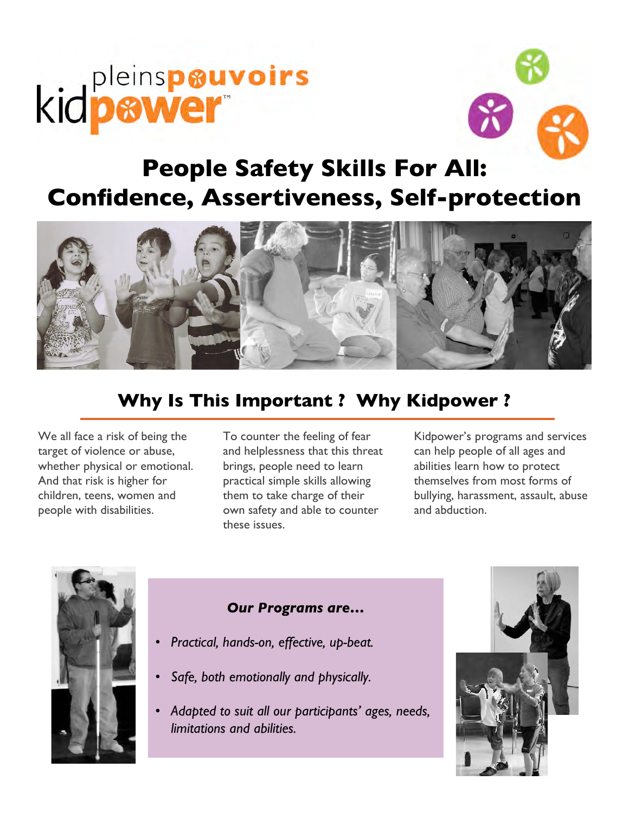# kidpewer



# **People Safety Skills For All: Confidence, Assertiveness, Self-protection**



# **Why Is This Important ? Why Kidpower ?**

We all face a risk of being the target of violence or abuse, whether physical or emotional. And that risk is higher for children, teens, women and people with disabilities.

To counter the feeling of fear and helplessness that this threat brings, people need to learn practical simple skills allowing them to take charge of their own safety and able to counter these issues.

Kidpower's programs and services can help people of all ages and abilities learn how to protect themselves from most forms of bullying, harassment, assault, abuse and abduction.



#### *Our Programs are…*

- *Practical, hands-on, effective, up-beat.*
- *Safe, both emotionally and physically.*
- *Adapted to suit all our participants' ages, needs, limitations and abilities.*

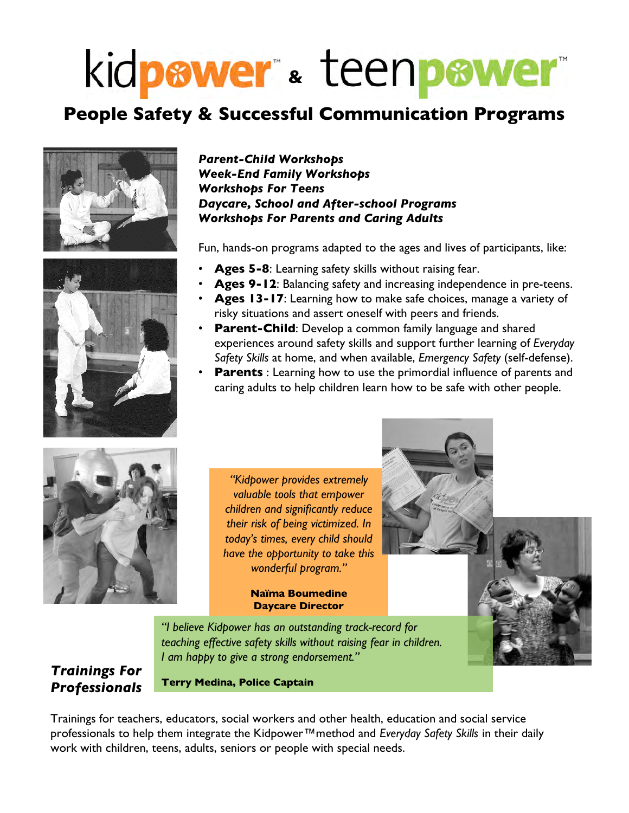# kidpewer & teenpewer

# **People Safety & Successful Communication Programs**





#### *Parent-Child Workshops Week-End Family Workshops Workshops For Teens Daycare, School and After-school Programs Workshops For Parents and Caring Adults*

Fun, hands-on programs adapted to the ages and lives of participants, like:

- Ages 5-8: Learning safety skills without raising fear.
- Ages 9-12: Balancing safety and increasing independence in pre-teens.
- **Ages 13-17**: Learning how to make safe choices, manage a variety of risky situations and assert oneself with peers and friends.
- **Parent-Child:** Develop a common family language and shared experiences around safety skills and support further learning of *Everyday Safety Skills* at home, and when available, *Emergency Safety* (self-defense).
- **Parents** : Learning how to use the primordial influence of parents and caring adults to help children learn how to be safe with other people.



*"Kidpower provides extremely valuable tools that empower children and significantly reduce their risk of being victimized. In today's times, every child should have the opportunity to take this wonderful program."*

#### **Naïma Boumedine Daycare Director**

*"I believe Kidpower has an outstanding track-record for teaching effective safety skills without raising fear in children. I am happy to give a strong endorsement."*

#### *Trainings For Professionals*

**Terry Medina, Police Captain**

Trainings for teachers, educators, social workers and other health, education and social service professionals to help them integrate the Kidpower™method and *Everyday Safety Skills* in their daily work with children, teens, adults, seniors or people with special needs.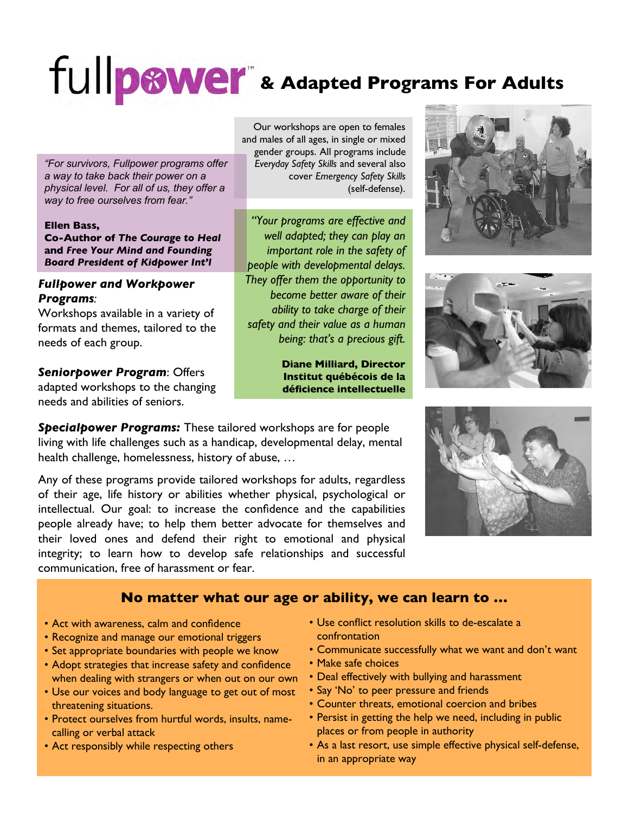# fullp**ower** & Adapted Programs For Adults

*"For survivors, Fullpower programs offer a way to take back their power on a physical level. For all of us, they offer a way to free ourselves from fear."*

#### **Ellen Bass, Co-Author of** *The Courage to Heal* **and** *Free Your Mind and Founding Board President of Kidpower Int'l*

#### *Fullpower and Workpower Programs:*

Workshops available in a variety of formats and themes, tailored to the needs of each group.

### *Seniorpower Program*: Offers

adapted workshops to the changing needs and abilities of seniors.

*Specialpower Programs:* These tailored workshops are for people living with life challenges such as a handicap, developmental delay, mental health challenge, homelessness, history of abuse, …

Any of these programs provide tailored workshops for adults, regardless of their age, life history or abilities whether physical, psychological or intellectual. Our goal: to increase the confidence and the capabilities people already have; to help them better advocate for themselves and their loved ones and defend their right to emotional and physical integrity; to learn how to develop safe relationships and successful communication, free of harassment or fear.

Our workshops are open to females and males of all ages, in single or mixed gender groups. All programs include *Everyday Safety Skills* and several also cover *Emergency Safety Skills* (self-defense).

*"Your programs are effective and well adapted; they can play an important role in the safety of people with developmental delays. They offer them the opportunity to become better aware of their ability to take charge of their safety and their value as a human being: that's a precious gift.*

> **Diane Milliard, Director Institut québécois de la déficience intellectuelle**







#### **No matter what our age or ability, we can learn to …**

- Act with awareness, calm and confidence
- Recognize and manage our emotional triggers
- Set appropriate boundaries with people we know
- Adopt strategies that increase safety and confidence when dealing with strangers or when out on our own
- Use our voices and body language to get out of most threatening situations.
- Protect ourselves from hurtful words, insults, namecalling or verbal attack
- Act responsibly while respecting others
- Use conflict resolution skills to de-escalate a confrontation
- Communicate successfully what we want and don't want
- Make safe choices
- Deal effectively with bullying and harassment
- Say 'No' to peer pressure and friends
- Counter threats, emotional coercion and bribes
- Persist in getting the help we need, including in public places or from people in authority
- As a last resort, use simple effective physical self-defense, in an appropriate way